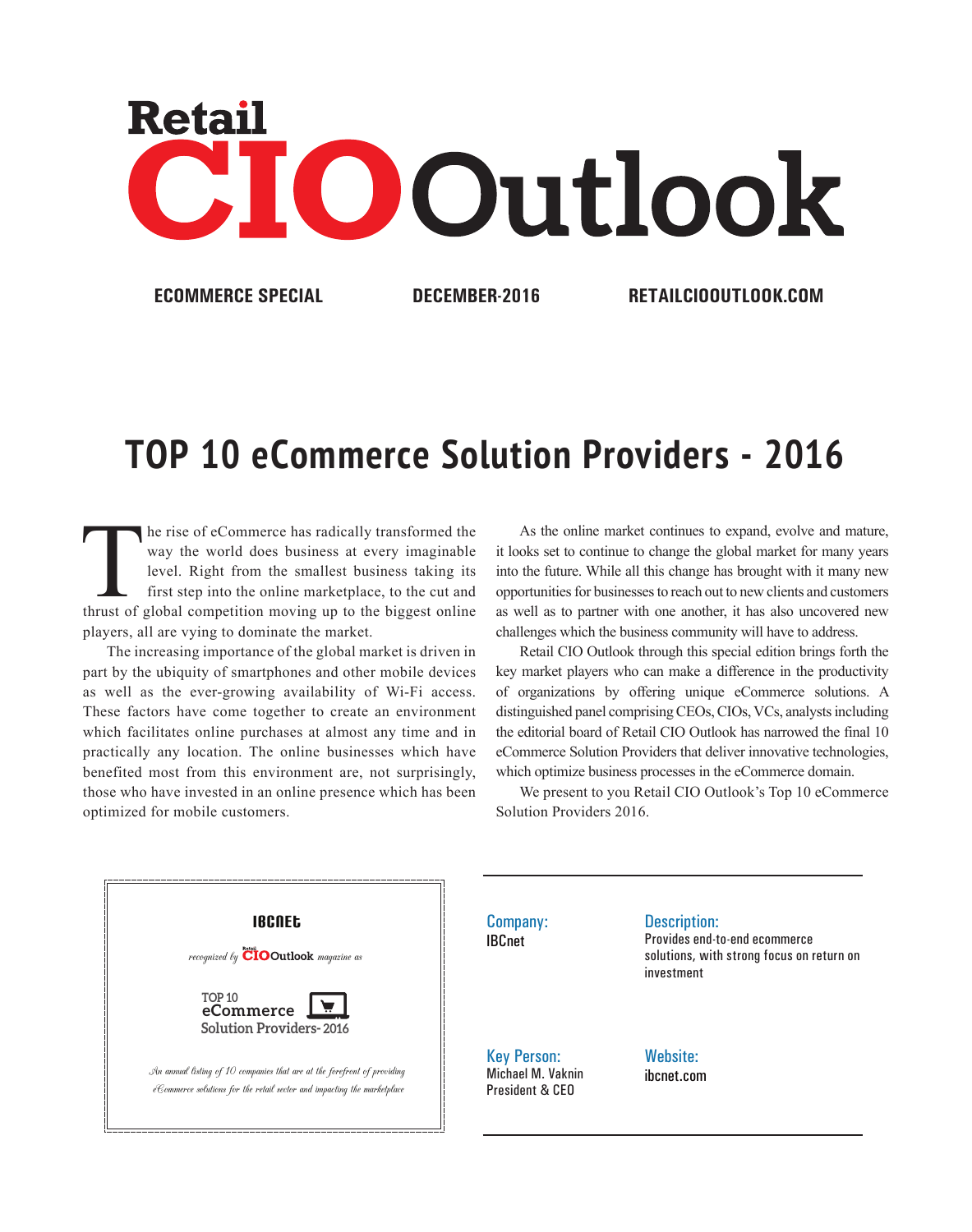

**ECOMMERCE SPECIAL DECEMBER-2016 RETAILCIOOUTLOOK.COM**

## **TOP 10 eCommerce Solution Providers - 2016**

The rise of eCommerce has radically transformed the way the world does business at every imaginable level. Right from the smallest business taking its first step into the online marketplace, to the cut and thrust of global way the world does business at every imaginable level. Right from the smallest business taking its first step into the online marketplace, to the cut and players, all are vying to dominate the market.

The increasing importance of the global market is driven in part by the ubiquity of smartphones and other mobile devices as well as the ever-growing availability of Wi-Fi access. These factors have come together to create an environment which facilitates online purchases at almost any time and in practically any location. The online businesses which have benefited most from this environment are, not surprisingly, those who have invested in an online presence which has been optimized for mobile customers.

As the online market continues to expand, evolve and mature, it looks set to continue to change the global market for many years into the future. While all this change has brought with it many new opportunities for businesses to reach out to new clients and customers as well as to partner with one another, it has also uncovered new challenges which the business community will have to address.

Retail CIO Outlook through this special edition brings forth the key market players who can make a difference in the productivity of organizations by offering unique eCommerce solutions. A distinguished panel comprising CEOs, CIOs, VCs, analysts including the editorial board of Retail CIO Outlook has narrowed the final 10 eCommerce Solution Providers that deliver innovative technologies, which optimize business processes in the eCommerce domain.

We present to you Retail CIO Outlook's Top 10 eCommerce Solution Providers 2016.